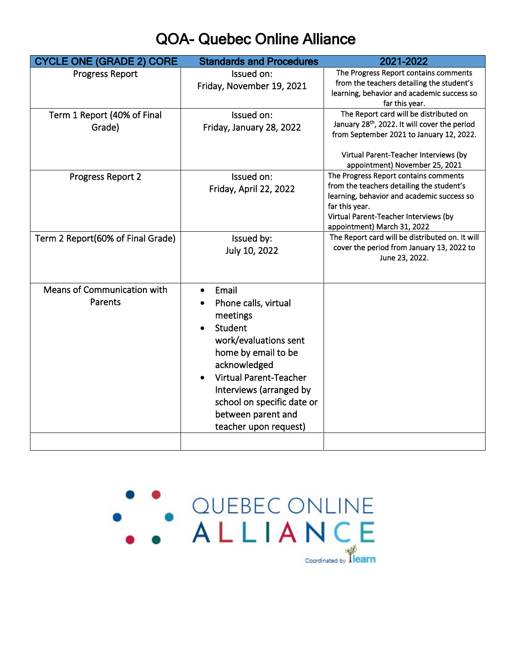## QOA- Quebec Online Alliance

| <b>CYCLE ONE (GRADE 2) CORE</b>   | <b>Standards and Procedures</b>             | 2021-2022                                                                                             |
|-----------------------------------|---------------------------------------------|-------------------------------------------------------------------------------------------------------|
| <b>Progress Report</b>            | Issued on:                                  | The Progress Report contains comments<br>from the teachers detailing the student's                    |
|                                   | Friday, November 19, 2021                   | learning, behavior and academic success so                                                            |
|                                   |                                             | far this year.                                                                                        |
| Term 1 Report (40% of Final       | Issued on:                                  | The Report card will be distributed on                                                                |
| Grade)                            | Friday, January 28, 2022                    | January 28 <sup>th</sup> , 2022. It will cover the period<br>from September 2021 to January 12, 2022. |
|                                   |                                             |                                                                                                       |
|                                   |                                             | Virtual Parent-Teacher Interviews (by<br>appointment) November 25, 2021                               |
| Progress Report 2                 | Issued on:                                  | The Progress Report contains comments                                                                 |
|                                   | Friday, April 22, 2022                      | from the teachers detailing the student's                                                             |
|                                   |                                             | learning, behavior and academic success so                                                            |
|                                   |                                             | far this year.<br>Virtual Parent-Teacher Interviews (by                                               |
|                                   |                                             | appointment) March 31, 2022                                                                           |
| Term 2 Report(60% of Final Grade) | Issued by:                                  | The Report card will be distributed on. It will                                                       |
|                                   | July 10, 2022                               | cover the period from January 13, 2022 to                                                             |
|                                   |                                             | June 23, 2022.                                                                                        |
|                                   |                                             |                                                                                                       |
| Means of Communication with       | Email                                       |                                                                                                       |
| Parents                           | Phone calls, virtual                        |                                                                                                       |
|                                   | meetings                                    |                                                                                                       |
|                                   | Student                                     |                                                                                                       |
|                                   | work/evaluations sent                       |                                                                                                       |
|                                   | home by email to be                         |                                                                                                       |
|                                   | acknowledged                                |                                                                                                       |
|                                   | <b>Virtual Parent-Teacher</b>               |                                                                                                       |
|                                   | Interviews (arranged by                     |                                                                                                       |
|                                   | school on specific date or                  |                                                                                                       |
|                                   | between parent and<br>teacher upon request) |                                                                                                       |
|                                   |                                             |                                                                                                       |
|                                   |                                             |                                                                                                       |

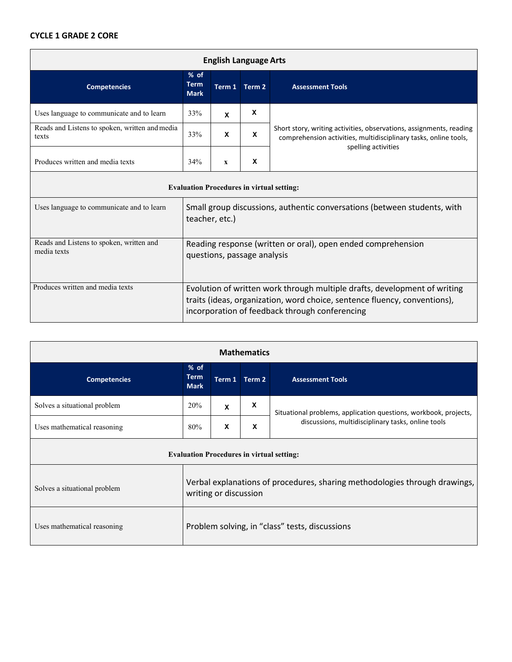## **CYCLE 1 GRADE 2 CORE**

| <b>English Language Arts</b>                            |                                                                                             |              |             |                                                                                                                                                                |
|---------------------------------------------------------|---------------------------------------------------------------------------------------------|--------------|-------------|----------------------------------------------------------------------------------------------------------------------------------------------------------------|
| <b>Competencies</b>                                     | $%$ of<br><b>Term</b><br><b>Mark</b>                                                        | Term 1       | Term 2      | <b>Assessment Tools</b>                                                                                                                                        |
| Uses language to communicate and to learn               | 33%                                                                                         | X            | X           |                                                                                                                                                                |
| Reads and Listens to spoken, written and media<br>texts | 33%                                                                                         | X            | $\mathbf x$ | Short story, writing activities, observations, assignments, reading<br>comprehension activities, multidisciplinary tasks, online tools,<br>spelling activities |
| Produces written and media texts                        | 34%                                                                                         | $\mathbf{x}$ | X           |                                                                                                                                                                |
| <b>Evaluation Procedures in virtual setting:</b>        |                                                                                             |              |             |                                                                                                                                                                |
| Uses language to communicate and to learn               | Small group discussions, authentic conversations (between students, with<br>teacher, etc.)  |              |             |                                                                                                                                                                |
| Reads and Listens to spoken, written and<br>media texts | Reading response (written or oral), open ended comprehension<br>questions, passage analysis |              |             |                                                                                                                                                                |
| Produces written and media texts                        | Evolution of written work through multiple drafts, development of writing                   |              |             |                                                                                                                                                                |

traits (ideas, organization, word choice, sentence fluency, conventions),

incorporation of feedback through conferencing

| <b>Mathematics</b>                               |                                                                                                     |   |               |                                                                  |
|--------------------------------------------------|-----------------------------------------------------------------------------------------------------|---|---------------|------------------------------------------------------------------|
| <b>Competencies</b>                              | % of<br><b>Term</b><br><b>Mark</b>                                                                  |   | Term 1 Term 2 | <b>Assessment Tools</b>                                          |
| Solves a situational problem                     | 20%                                                                                                 | X | X             | Situational problems, application questions, workbook, projects, |
| Uses mathematical reasoning                      | 80%                                                                                                 | X | X             | discussions, multidisciplinary tasks, online tools               |
| <b>Evaluation Procedures in virtual setting:</b> |                                                                                                     |   |               |                                                                  |
| Solves a situational problem                     | Verbal explanations of procedures, sharing methodologies through drawings,<br>writing or discussion |   |               |                                                                  |
| Uses mathematical reasoning                      | Problem solving, in "class" tests, discussions                                                      |   |               |                                                                  |